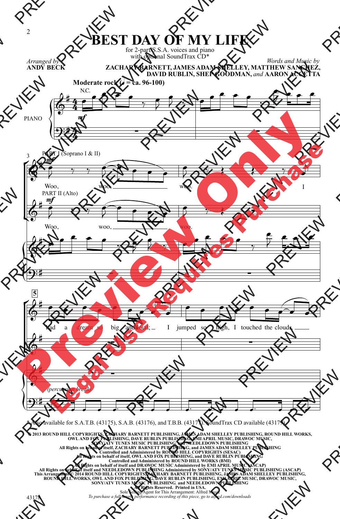

© 2013 ROUND HILL COPYRIGHTS, ZACHARY BARNETT PUBLISHING, JAMES ADAM SHELLEY PUBLISHING, ROUND HILL WORKS,<br>OWL AND FOX PUBLISHING, DAVE RUBLIN PUBLISHING, EMI APRIL MUSIC, DRAWOC MUSIC,<br>SONY/ATV TUNES MUSIC PUBLISHING, and All Rights on behalf of itself, OWL AND FOX PUBLISHING, and DAVE RUBLIN PUBLISHING<br>Controlled and Administered by ROUND HILL WORKS (BMI)<br>All Rights on behalf of itself and Neaming the deal of the MUSIC Administered by EMI **All Rights Reserved. Printed in USA.**

Sole Selling Agent for This Arrangement: Alfred Music *To purchase a full-length performance recording of this piece, go to alfred.com/downloads*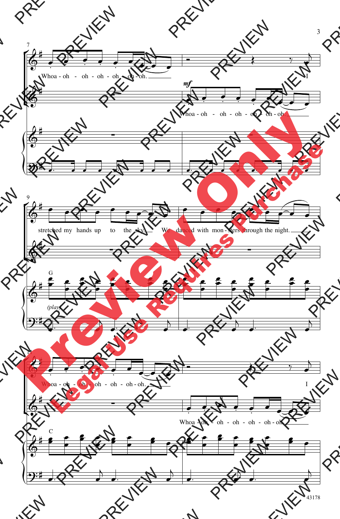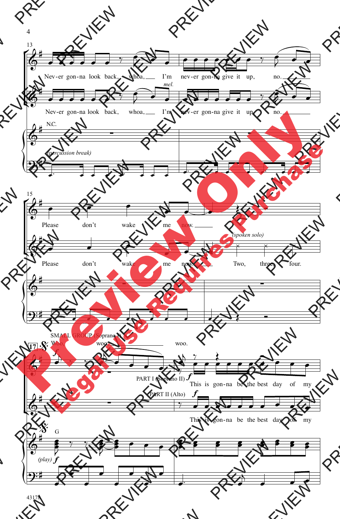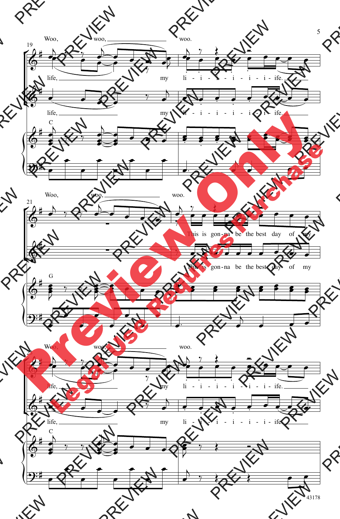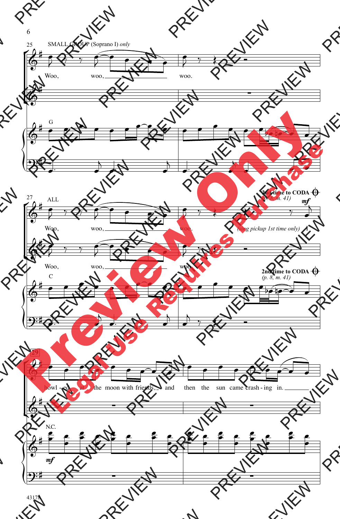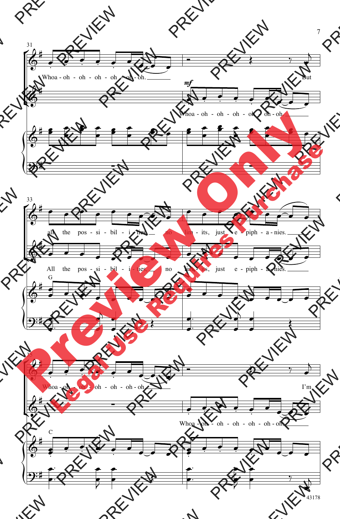

43178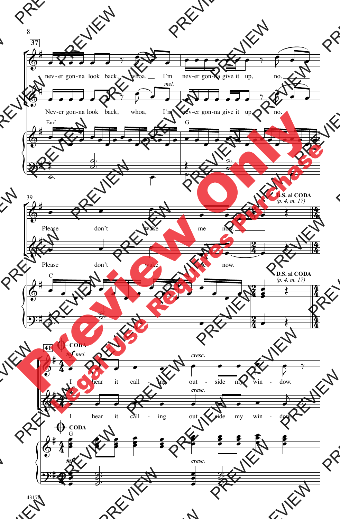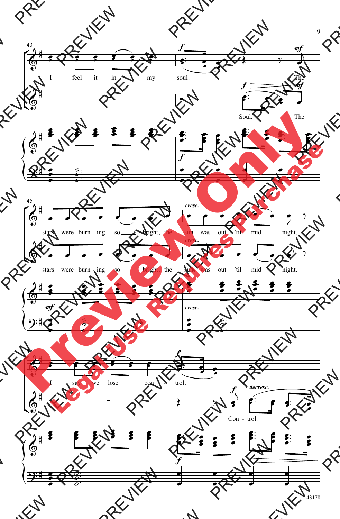

43178

## 9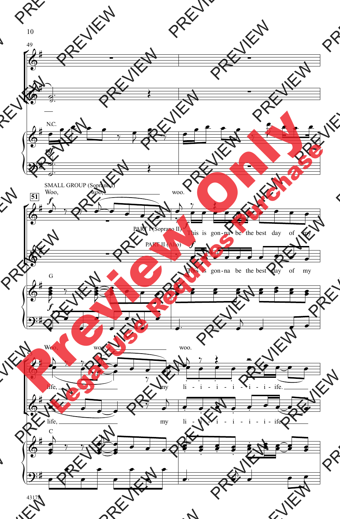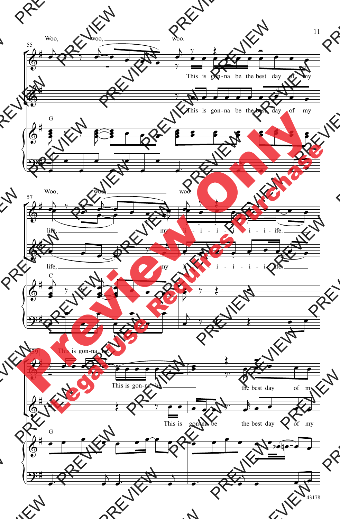